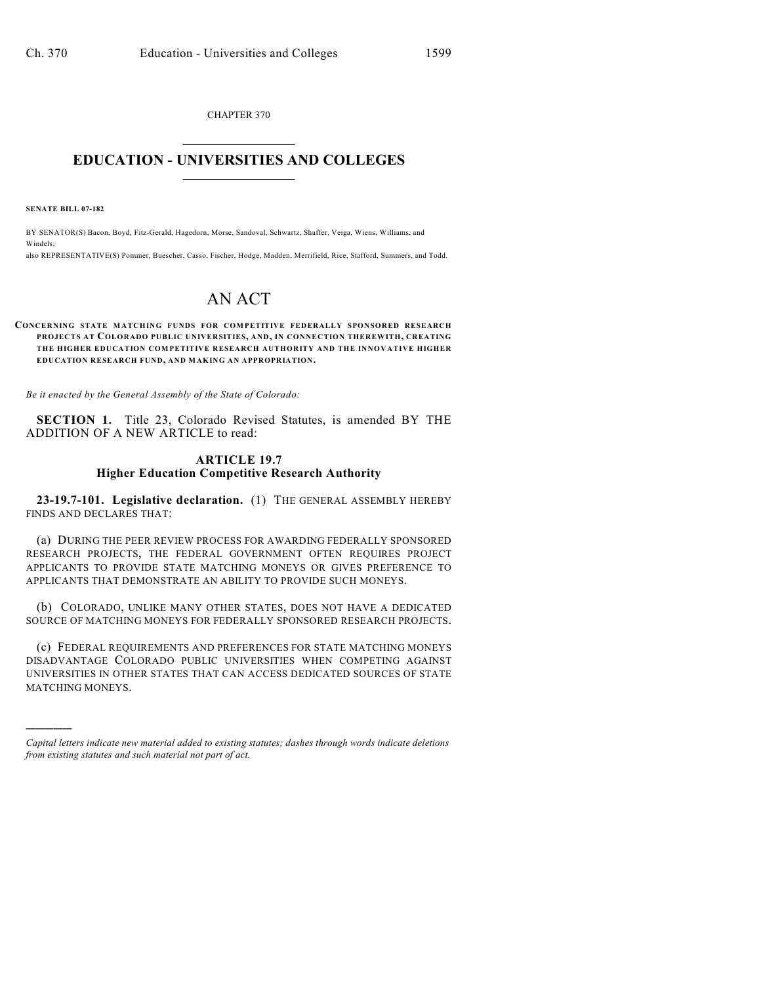CHAPTER 370  $\mathcal{L}_\text{max}$  . The set of the set of the set of the set of the set of the set of the set of the set of the set of the set of the set of the set of the set of the set of the set of the set of the set of the set of the set

### **EDUCATION - UNIVERSITIES AND COLLEGES**  $\_$

**SENATE BILL 07-182**

)))))

BY SENATOR(S) Bacon, Boyd, Fitz-Gerald, Hagedorn, Morse, Sandoval, Schwartz, Shaffer, Veiga, Wiens, Williams, and Windels; also REPRESENTATIVE(S) Pommer, Buescher, Casso, Fischer, Hodge, Madden, Merrifield, Rice, Stafford, Summers, and Todd.

# AN ACT

#### **CONCERNING STATE MATCHING FUNDS FOR COMPETITIVE FEDERALLY SPONSORED RESEARCH PROJECTS AT COLORADO PUBLIC UNIVERSITIES, AND, IN CONNECTION THEREWITH, CREATING THE HIGHER EDUCATION COMPETITIVE RESEARCH AUTHORITY AND THE INNOVATIVE HIGHER EDUCATION RESEARCH FUND, AND MAKING AN APPROPRIATION.**

*Be it enacted by the General Assembly of the State of Colorado:*

**SECTION 1.** Title 23, Colorado Revised Statutes, is amended BY THE ADDITION OF A NEW ARTICLE to read:

#### **ARTICLE 19.7 Higher Education Competitive Research Authority**

**23-19.7-101. Legislative declaration.** (1) THE GENERAL ASSEMBLY HEREBY FINDS AND DECLARES THAT:

(a) DURING THE PEER REVIEW PROCESS FOR AWARDING FEDERALLY SPONSORED RESEARCH PROJECTS, THE FEDERAL GOVERNMENT OFTEN REQUIRES PROJECT APPLICANTS TO PROVIDE STATE MATCHING MONEYS OR GIVES PREFERENCE TO APPLICANTS THAT DEMONSTRATE AN ABILITY TO PROVIDE SUCH MONEYS.

(b) COLORADO, UNLIKE MANY OTHER STATES, DOES NOT HAVE A DEDICATED SOURCE OF MATCHING MONEYS FOR FEDERALLY SPONSORED RESEARCH PROJECTS.

(c) FEDERAL REQUIREMENTS AND PREFERENCES FOR STATE MATCHING MONEYS DISADVANTAGE COLORADO PUBLIC UNIVERSITIES WHEN COMPETING AGAINST UNIVERSITIES IN OTHER STATES THAT CAN ACCESS DEDICATED SOURCES OF STATE MATCHING MONEYS.

*Capital letters indicate new material added to existing statutes; dashes through words indicate deletions from existing statutes and such material not part of act.*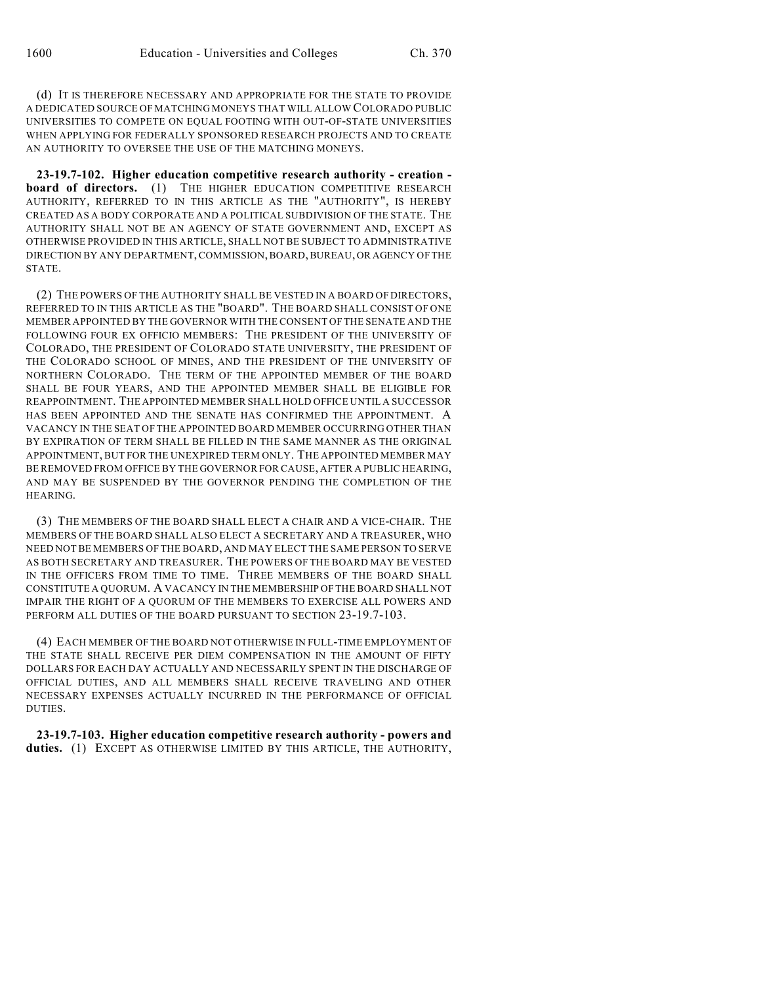(d) IT IS THEREFORE NECESSARY AND APPROPRIATE FOR THE STATE TO PROVIDE A DEDICATED SOURCE OF MATCHING MONEYS THAT WILL ALLOW COLORADO PUBLIC UNIVERSITIES TO COMPETE ON EQUAL FOOTING WITH OUT-OF-STATE UNIVERSITIES WHEN APPLYING FOR FEDERALLY SPONSORED RESEARCH PROJECTS AND TO CREATE AN AUTHORITY TO OVERSEE THE USE OF THE MATCHING MONEYS.

**23-19.7-102. Higher education competitive research authority - creation board of directors.** (1) THE HIGHER EDUCATION COMPETITIVE RESEARCH AUTHORITY, REFERRED TO IN THIS ARTICLE AS THE "AUTHORITY", IS HEREBY CREATED AS A BODY CORPORATE AND A POLITICAL SUBDIVISION OF THE STATE. THE AUTHORITY SHALL NOT BE AN AGENCY OF STATE GOVERNMENT AND, EXCEPT AS OTHERWISE PROVIDED IN THIS ARTICLE, SHALL NOT BE SUBJECT TO ADMINISTRATIVE DIRECTION BY ANY DEPARTMENT, COMMISSION, BOARD, BUREAU, OR AGENCY OF THE STATE.

(2) THE POWERS OF THE AUTHORITY SHALL BE VESTED IN A BOARD OF DIRECTORS, REFERRED TO IN THIS ARTICLE AS THE "BOARD". THE BOARD SHALL CONSIST OF ONE MEMBER APPOINTED BY THE GOVERNOR WITH THE CONSENT OF THE SENATE AND THE FOLLOWING FOUR EX OFFICIO MEMBERS: THE PRESIDENT OF THE UNIVERSITY OF COLORADO, THE PRESIDENT OF COLORADO STATE UNIVERSITY, THE PRESIDENT OF THE COLORADO SCHOOL OF MINES, AND THE PRESIDENT OF THE UNIVERSITY OF NORTHERN COLORADO. THE TERM OF THE APPOINTED MEMBER OF THE BOARD SHALL BE FOUR YEARS, AND THE APPOINTED MEMBER SHALL BE ELIGIBLE FOR REAPPOINTMENT. THE APPOINTED MEMBER SHALL HOLD OFFICE UNTIL A SUCCESSOR HAS BEEN APPOINTED AND THE SENATE HAS CONFIRMED THE APPOINTMENT. A VACANCY IN THE SEAT OF THE APPOINTED BOARD MEMBER OCCURRING OTHER THAN BY EXPIRATION OF TERM SHALL BE FILLED IN THE SAME MANNER AS THE ORIGINAL APPOINTMENT, BUT FOR THE UNEXPIRED TERM ONLY. THE APPOINTED MEMBER MAY BE REMOVED FROM OFFICE BY THE GOVERNOR FOR CAUSE, AFTER A PUBLIC HEARING, AND MAY BE SUSPENDED BY THE GOVERNOR PENDING THE COMPLETION OF THE HEARING.

(3) THE MEMBERS OF THE BOARD SHALL ELECT A CHAIR AND A VICE-CHAIR. THE MEMBERS OF THE BOARD SHALL ALSO ELECT A SECRETARY AND A TREASURER, WHO NEED NOT BE MEMBERS OF THE BOARD, AND MAY ELECT THE SAME PERSON TO SERVE AS BOTH SECRETARY AND TREASURER. THE POWERS OF THE BOARD MAY BE VESTED IN THE OFFICERS FROM TIME TO TIME. THREE MEMBERS OF THE BOARD SHALL CONSTITUTE A QUORUM. A VACANCY IN THE MEMBERSHIP OF THE BOARD SHALL NOT IMPAIR THE RIGHT OF A QUORUM OF THE MEMBERS TO EXERCISE ALL POWERS AND PERFORM ALL DUTIES OF THE BOARD PURSUANT TO SECTION 23-19.7-103.

(4) EACH MEMBER OF THE BOARD NOT OTHERWISE IN FULL-TIME EMPLOYMENT OF THE STATE SHALL RECEIVE PER DIEM COMPENSATION IN THE AMOUNT OF FIFTY DOLLARS FOR EACH DAY ACTUALLY AND NECESSARILY SPENT IN THE DISCHARGE OF OFFICIAL DUTIES, AND ALL MEMBERS SHALL RECEIVE TRAVELING AND OTHER NECESSARY EXPENSES ACTUALLY INCURRED IN THE PERFORMANCE OF OFFICIAL DUTIES.

**23-19.7-103. Higher education competitive research authority - powers and** duties. (1) EXCEPT AS OTHERWISE LIMITED BY THIS ARTICLE, THE AUTHORITY,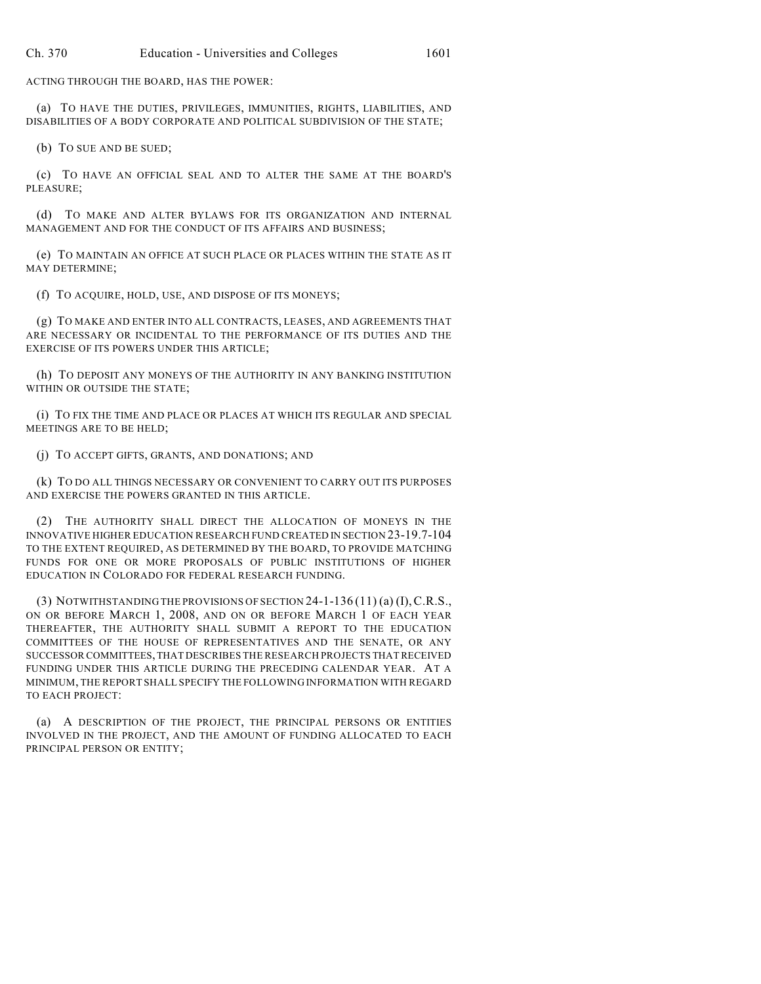ACTING THROUGH THE BOARD, HAS THE POWER:

(a) TO HAVE THE DUTIES, PRIVILEGES, IMMUNITIES, RIGHTS, LIABILITIES, AND DISABILITIES OF A BODY CORPORATE AND POLITICAL SUBDIVISION OF THE STATE;

(b) TO SUE AND BE SUED;

(c) TO HAVE AN OFFICIAL SEAL AND TO ALTER THE SAME AT THE BOARD'S PLEASURE;

(d) TO MAKE AND ALTER BYLAWS FOR ITS ORGANIZATION AND INTERNAL MANAGEMENT AND FOR THE CONDUCT OF ITS AFFAIRS AND BUSINESS;

(e) TO MAINTAIN AN OFFICE AT SUCH PLACE OR PLACES WITHIN THE STATE AS IT MAY DETERMINE;

(f) TO ACQUIRE, HOLD, USE, AND DISPOSE OF ITS MONEYS;

(g) TO MAKE AND ENTER INTO ALL CONTRACTS, LEASES, AND AGREEMENTS THAT ARE NECESSARY OR INCIDENTAL TO THE PERFORMANCE OF ITS DUTIES AND THE EXERCISE OF ITS POWERS UNDER THIS ARTICLE;

(h) TO DEPOSIT ANY MONEYS OF THE AUTHORITY IN ANY BANKING INSTITUTION WITHIN OR OUTSIDE THE STATE;

(i) TO FIX THE TIME AND PLACE OR PLACES AT WHICH ITS REGULAR AND SPECIAL MEETINGS ARE TO BE HELD;

(j) TO ACCEPT GIFTS, GRANTS, AND DONATIONS; AND

(k) TO DO ALL THINGS NECESSARY OR CONVENIENT TO CARRY OUT ITS PURPOSES AND EXERCISE THE POWERS GRANTED IN THIS ARTICLE.

(2) THE AUTHORITY SHALL DIRECT THE ALLOCATION OF MONEYS IN THE INNOVATIVE HIGHER EDUCATION RESEARCH FUND CREATED IN SECTION 23-19.7-104 TO THE EXTENT REQUIRED, AS DETERMINED BY THE BOARD, TO PROVIDE MATCHING FUNDS FOR ONE OR MORE PROPOSALS OF PUBLIC INSTITUTIONS OF HIGHER EDUCATION IN COLORADO FOR FEDERAL RESEARCH FUNDING.

(3) NOTWITHSTANDING THE PROVISIONS OF SECTION 24-1-136 (11) (a) (I),C.R.S., ON OR BEFORE MARCH 1, 2008, AND ON OR BEFORE MARCH 1 OF EACH YEAR THEREAFTER, THE AUTHORITY SHALL SUBMIT A REPORT TO THE EDUCATION COMMITTEES OF THE HOUSE OF REPRESENTATIVES AND THE SENATE, OR ANY SUCCESSOR COMMITTEES, THAT DESCRIBES THE RESEARCH PROJECTS THAT RECEIVED FUNDING UNDER THIS ARTICLE DURING THE PRECEDING CALENDAR YEAR. AT A MINIMUM, THE REPORT SHALL SPECIFY THE FOLLOWING INFORMATION WITH REGARD TO EACH PROJECT:

(a) A DESCRIPTION OF THE PROJECT, THE PRINCIPAL PERSONS OR ENTITIES INVOLVED IN THE PROJECT, AND THE AMOUNT OF FUNDING ALLOCATED TO EACH PRINCIPAL PERSON OR ENTITY;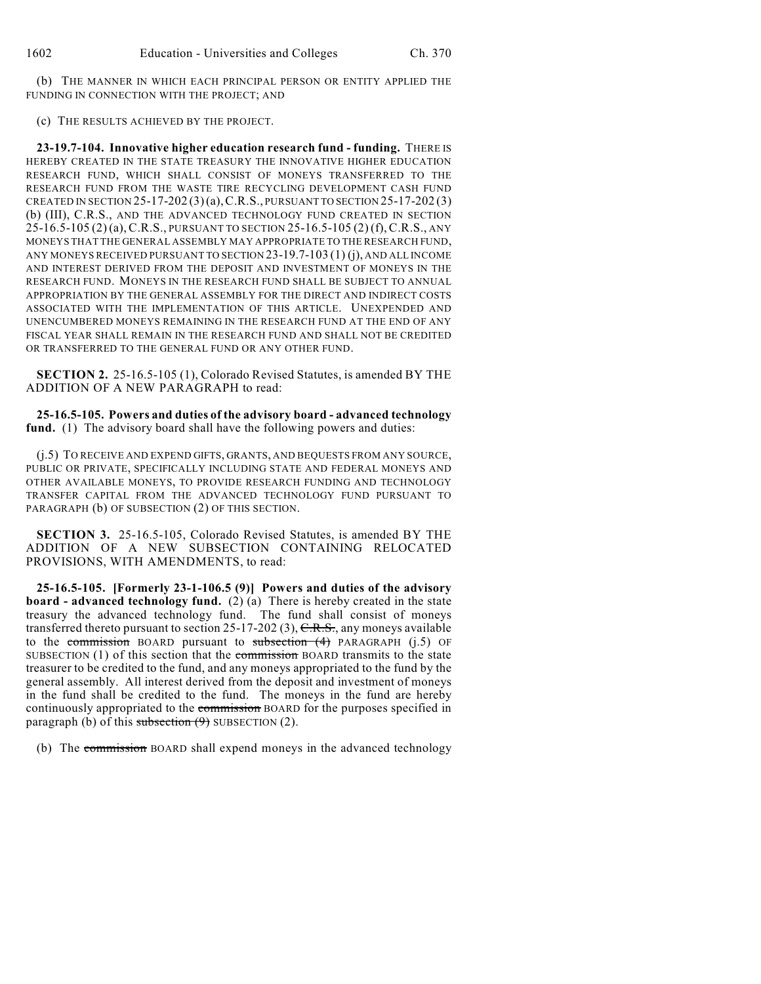(b) THE MANNER IN WHICH EACH PRINCIPAL PERSON OR ENTITY APPLIED THE FUNDING IN CONNECTION WITH THE PROJECT; AND

(c) THE RESULTS ACHIEVED BY THE PROJECT.

**23-19.7-104. Innovative higher education research fund - funding.** THERE IS HEREBY CREATED IN THE STATE TREASURY THE INNOVATIVE HIGHER EDUCATION RESEARCH FUND, WHICH SHALL CONSIST OF MONEYS TRANSFERRED TO THE RESEARCH FUND FROM THE WASTE TIRE RECYCLING DEVELOPMENT CASH FUND CREATED IN SECTION 25-17-202 (3)(a),C.R.S., PURSUANT TO SECTION 25-17-202 (3) (b) (III), C.R.S., AND THE ADVANCED TECHNOLOGY FUND CREATED IN SECTION 25-16.5-105 (2) (a),C.R.S., PURSUANT TO SECTION 25-16.5-105 (2) (f),C.R.S., ANY MONEYS THAT THE GENERAL ASSEMBLY MAY APPROPRIATE TO THE RESEARCH FUND, ANY MONEYS RECEIVED PURSUANT TO SECTION 23-19.7-103 (1) (j), AND ALL INCOME AND INTEREST DERIVED FROM THE DEPOSIT AND INVESTMENT OF MONEYS IN THE RESEARCH FUND. MONEYS IN THE RESEARCH FUND SHALL BE SUBJECT TO ANNUAL APPROPRIATION BY THE GENERAL ASSEMBLY FOR THE DIRECT AND INDIRECT COSTS ASSOCIATED WITH THE IMPLEMENTATION OF THIS ARTICLE. UNEXPENDED AND UNENCUMBERED MONEYS REMAINING IN THE RESEARCH FUND AT THE END OF ANY FISCAL YEAR SHALL REMAIN IN THE RESEARCH FUND AND SHALL NOT BE CREDITED OR TRANSFERRED TO THE GENERAL FUND OR ANY OTHER FUND.

**SECTION 2.** 25-16.5-105 (1), Colorado Revised Statutes, is amended BY THE ADDITION OF A NEW PARAGRAPH to read:

**25-16.5-105. Powers and duties of the advisory board - advanced technology fund.** (1) The advisory board shall have the following powers and duties:

(j.5) TO RECEIVE AND EXPEND GIFTS, GRANTS, AND BEQUESTS FROM ANY SOURCE, PUBLIC OR PRIVATE, SPECIFICALLY INCLUDING STATE AND FEDERAL MONEYS AND OTHER AVAILABLE MONEYS, TO PROVIDE RESEARCH FUNDING AND TECHNOLOGY TRANSFER CAPITAL FROM THE ADVANCED TECHNOLOGY FUND PURSUANT TO PARAGRAPH (b) OF SUBSECTION (2) OF THIS SECTION.

**SECTION 3.** 25-16.5-105, Colorado Revised Statutes, is amended BY THE ADDITION OF A NEW SUBSECTION CONTAINING RELOCATED PROVISIONS, WITH AMENDMENTS, to read:

**25-16.5-105. [Formerly 23-1-106.5 (9)] Powers and duties of the advisory board - advanced technology fund.** (2) (a) There is hereby created in the state treasury the advanced technology fund. The fund shall consist of moneys transferred thereto pursuant to section 25-17-202 (3), C.R.S., any moneys available to the commission BOARD pursuant to subsection  $(4)$  PARAGRAPH  $(j.5)$  OF SUBSECTION  $(1)$  of this section that the commission BOARD transmits to the state treasurer to be credited to the fund, and any moneys appropriated to the fund by the general assembly. All interest derived from the deposit and investment of moneys in the fund shall be credited to the fund. The moneys in the fund are hereby continuously appropriated to the commission BOARD for the purposes specified in paragraph (b) of this subsection  $(9)$  SUBSECTION (2).

(b) The commission BOARD shall expend moneys in the advanced technology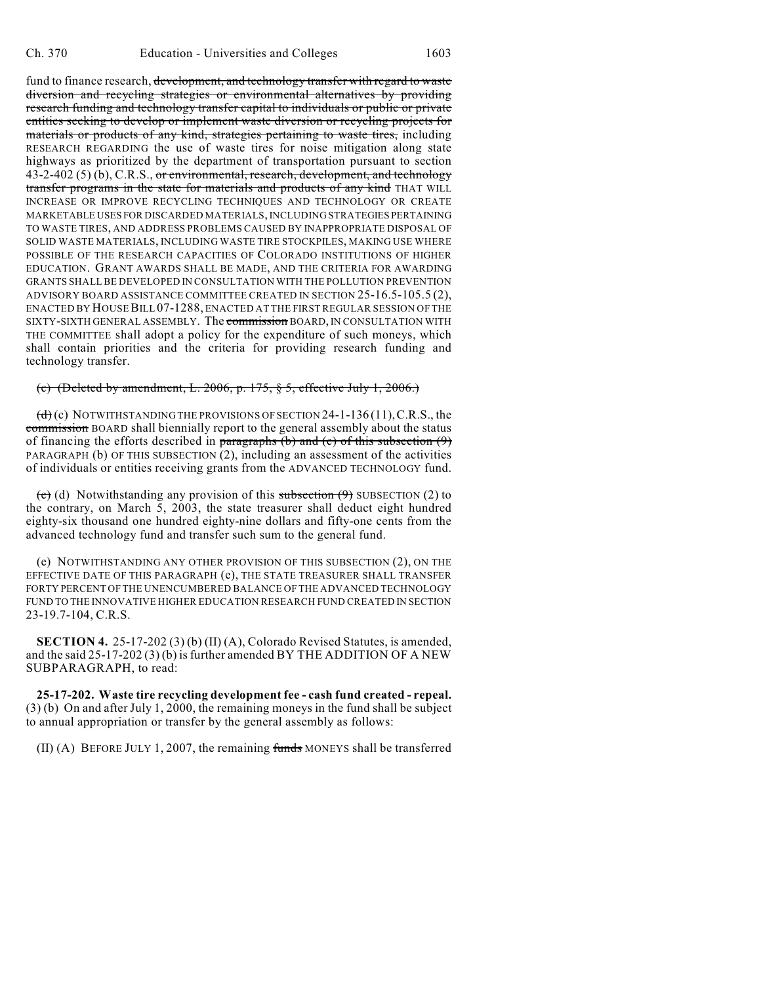fund to finance research, development, and technology transfer with regard to waste diversion and recycling strategies or environmental alternatives by providing research funding and technology transfer capital to individuals or public or private entities seeking to develop or implement waste diversion or recycling projects for materials or products of any kind, strategies pertaining to waste tires, including RESEARCH REGARDING the use of waste tires for noise mitigation along state highways as prioritized by the department of transportation pursuant to section 43-2-402 (5) (b), C.R.S., or environmental, research, development, and technology transfer programs in the state for materials and products of any kind THAT WILL INCREASE OR IMPROVE RECYCLING TECHNIQUES AND TECHNOLOGY OR CREATE MARKETABLE USES FOR DISCARDED MATERIALS, INCLUDING STRATEGIES PERTAINING TO WASTE TIRES, AND ADDRESS PROBLEMS CAUSED BY INAPPROPRIATE DISPOSAL OF SOLID WASTE MATERIALS, INCLUDING WASTE TIRE STOCKPILES, MAKING USE WHERE POSSIBLE OF THE RESEARCH CAPACITIES OF COLORADO INSTITUTIONS OF HIGHER EDUCATION. GRANT AWARDS SHALL BE MADE, AND THE CRITERIA FOR AWARDING GRANTS SHALL BE DEVELOPED IN CONSULTATION WITH THE POLLUTION PREVENTION ADVISORY BOARD ASSISTANCE COMMITTEE CREATED IN SECTION 25-16.5-105.5 (2), ENACTED BY HOUSE BILL 07-1288, ENACTED AT THE FIRST REGULAR SESSION OF THE SIXTY-SIXTH GENERAL ASSEMBLY. The commission BOARD, IN CONSULTATION WITH THE COMMITTEE shall adopt a policy for the expenditure of such moneys, which shall contain priorities and the criteria for providing research funding and technology transfer.

### (c) (Deleted by amendment, L. 2006, p. 175, § 5, effective July 1, 2006.)

 $(d)$  (c) NOTWITHSTANDING THE PROVISIONS OF SECTION 24-1-136 (11), C.R.S., the commission BOARD shall biennially report to the general assembly about the status of financing the efforts described in paragraphs (b) and (c) of this subsection  $(9)$ PARAGRAPH (b) OF THIS SUBSECTION (2), including an assessment of the activities of individuals or entities receiving grants from the ADVANCED TECHNOLOGY fund.

 $\overline{e}$  (d) Notwithstanding any provision of this subsection  $\overline{e}$ ) SUBSECTION (2) to the contrary, on March 5, 2003, the state treasurer shall deduct eight hundred eighty-six thousand one hundred eighty-nine dollars and fifty-one cents from the advanced technology fund and transfer such sum to the general fund.

(e) NOTWITHSTANDING ANY OTHER PROVISION OF THIS SUBSECTION (2), ON THE EFFECTIVE DATE OF THIS PARAGRAPH (e), THE STATE TREASURER SHALL TRANSFER FORTY PERCENT OF THE UNENCUMBERED BALANCE OF THE ADVANCED TECHNOLOGY FUND TO THE INNOVATIVE HIGHER EDUCATION RESEARCH FUND CREATED IN SECTION 23-19.7-104, C.R.S.

**SECTION 4.** 25-17-202 (3) (b) (II) (A), Colorado Revised Statutes, is amended, and the said  $25-17-202(3)(b)$  is further amended BY THE ADDITION OF A NEW SUBPARAGRAPH, to read:

**25-17-202. Waste tire recycling development fee - cash fund created - repeal.** (3) (b) On and after July 1, 2000, the remaining moneys in the fund shall be subject to annual appropriation or transfer by the general assembly as follows:

 $(II)$  (A) BEFORE JULY 1, 2007, the remaining funds MONEYS shall be transferred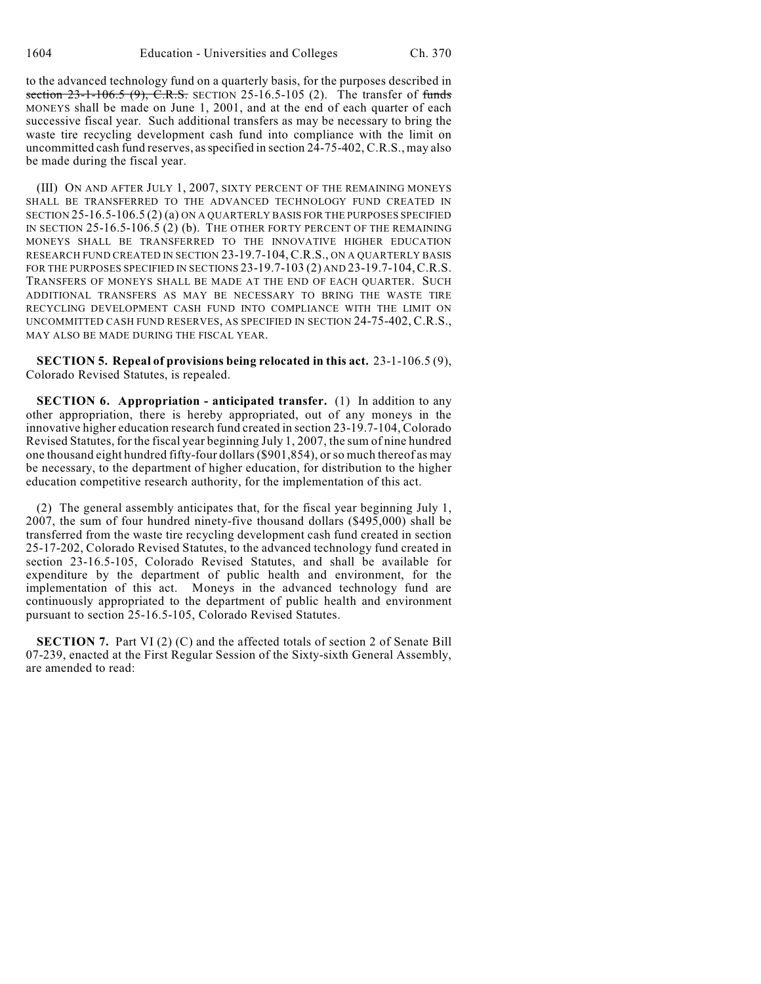to the advanced technology fund on a quarterly basis, for the purposes described in section  $23-1-106.5$  (9), C.R.S. SECTION 25-16.5-105 (2). The transfer of funds MONEYS shall be made on June 1, 2001, and at the end of each quarter of each successive fiscal year. Such additional transfers as may be necessary to bring the waste tire recycling development cash fund into compliance with the limit on uncommitted cash fund reserves, as specified in section 24-75-402, C.R.S., may also be made during the fiscal year.

(III) ON AND AFTER JULY 1, 2007, SIXTY PERCENT OF THE REMAINING MONEYS SHALL BE TRANSFERRED TO THE ADVANCED TECHNOLOGY FUND CREATED IN SECTION 25-16.5-106.5 (2) (a) ON A QUARTERLY BASIS FOR THE PURPOSES SPECIFIED IN SECTION 25-16.5-106.5 (2) (b). THE OTHER FORTY PERCENT OF THE REMAINING MONEYS SHALL BE TRANSFERRED TO THE INNOVATIVE HIGHER EDUCATION RESEARCH FUND CREATED IN SECTION 23-19.7-104, C.R.S., ON A QUARTERLY BASIS FOR THE PURPOSES SPECIFIED IN SECTIONS 23-19.7-103 (2) AND 23-19.7-104, C.R.S. TRANSFERS OF MONEYS SHALL BE MADE AT THE END OF EACH QUARTER. SUCH ADDITIONAL TRANSFERS AS MAY BE NECESSARY TO BRING THE WASTE TIRE RECYCLING DEVELOPMENT CASH FUND INTO COMPLIANCE WITH THE LIMIT ON UNCOMMITTED CASH FUND RESERVES, AS SPECIFIED IN SECTION 24-75-402, C.R.S., MAY ALSO BE MADE DURING THE FISCAL YEAR.

**SECTION 5. Repeal of provisions being relocated in this act.** 23-1-106.5 (9), Colorado Revised Statutes, is repealed.

**SECTION 6. Appropriation - anticipated transfer.** (1) In addition to any other appropriation, there is hereby appropriated, out of any moneys in the innovative higher education research fund created in section 23-19.7-104, Colorado Revised Statutes, for the fiscal year beginning July 1, 2007, the sum of nine hundred one thousand eight hundred fifty-four dollars (\$901,854), or so much thereof as may be necessary, to the department of higher education, for distribution to the higher education competitive research authority, for the implementation of this act.

(2) The general assembly anticipates that, for the fiscal year beginning July 1, 2007, the sum of four hundred ninety-five thousand dollars (\$495,000) shall be transferred from the waste tire recycling development cash fund created in section 25-17-202, Colorado Revised Statutes, to the advanced technology fund created in section 23-16.5-105, Colorado Revised Statutes, and shall be available for expenditure by the department of public health and environment, for the implementation of this act. Moneys in the advanced technology fund are continuously appropriated to the department of public health and environment pursuant to section 25-16.5-105, Colorado Revised Statutes.

**SECTION 7.** Part VI (2) (C) and the affected totals of section 2 of Senate Bill 07-239, enacted at the First Regular Session of the Sixty-sixth General Assembly, are amended to read: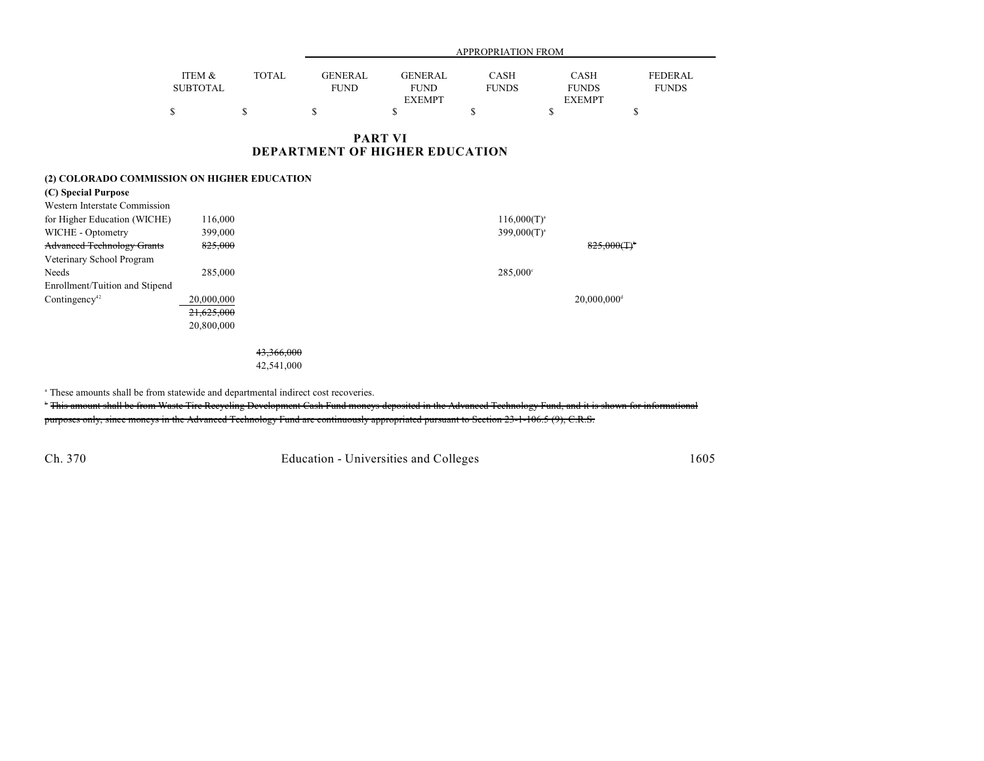|                 |       |                | APPROPRIATION FROM |              |               |                |  |  |
|-----------------|-------|----------------|--------------------|--------------|---------------|----------------|--|--|
| ITEM &          | TOTAL | <b>GENERAL</b> | <b>GENERAL</b>     | <b>CASH</b>  | <b>CASH</b>   | <b>FEDERAL</b> |  |  |
| <b>SUBTOTAL</b> |       | <b>FUND</b>    | <b>FUND</b>        | <b>FUNDS</b> | <b>FUNDS</b>  | <b>FUNDS</b>   |  |  |
|                 |       |                | <b>EXEMPT</b>      |              | <b>EXEMPT</b> |                |  |  |
|                 |       |                |                    |              |               |                |  |  |

#### **PART VI DEPARTMENT OF HIGHER EDUCATION**

#### **(2) COLORADO COMMISSION ON HIGHER EDUCATION**

| (C) Special Purpose               |            |                            |
|-----------------------------------|------------|----------------------------|
| Western Interstate Commission     |            |                            |
| for Higher Education (WICHE)      | 116,000    | $116,000(T)^{a}$           |
| WICHE - Optometry                 | 399,000    | $399,000(T)^{a}$           |
| <b>Advanced Technology Grants</b> | 825,000    | $825,000($ T) <sup>*</sup> |
| Veterinary School Program         |            |                            |
| Needs                             | 285,000    | $285,000^{\circ}$          |
| Enrollment/Tuition and Stipend    |            |                            |
| Contingency <sup>42</sup>         | 20,000,000 | $20,000,000$ <sup>d</sup>  |
|                                   | 21,625,000 |                            |
|                                   | 20,800,000 |                            |
|                                   |            |                            |

43,366,000 42,541,000

<sup>a</sup> These amounts shall be from statewide and departmental indirect cost recoveries.

<sup>\*</sup> This amount shall be from Waste Tire Recycling Development Cash Fund moneys deposited in the Advanced Technology Fund, and it is shown for informational purposes only, since moneys in the Advanced Technology Fund are continuously appropriated pursuant to Section 23-1-106.5 (9), C.R.S.

Ch. 370 Education - Universities and Colleges 1605